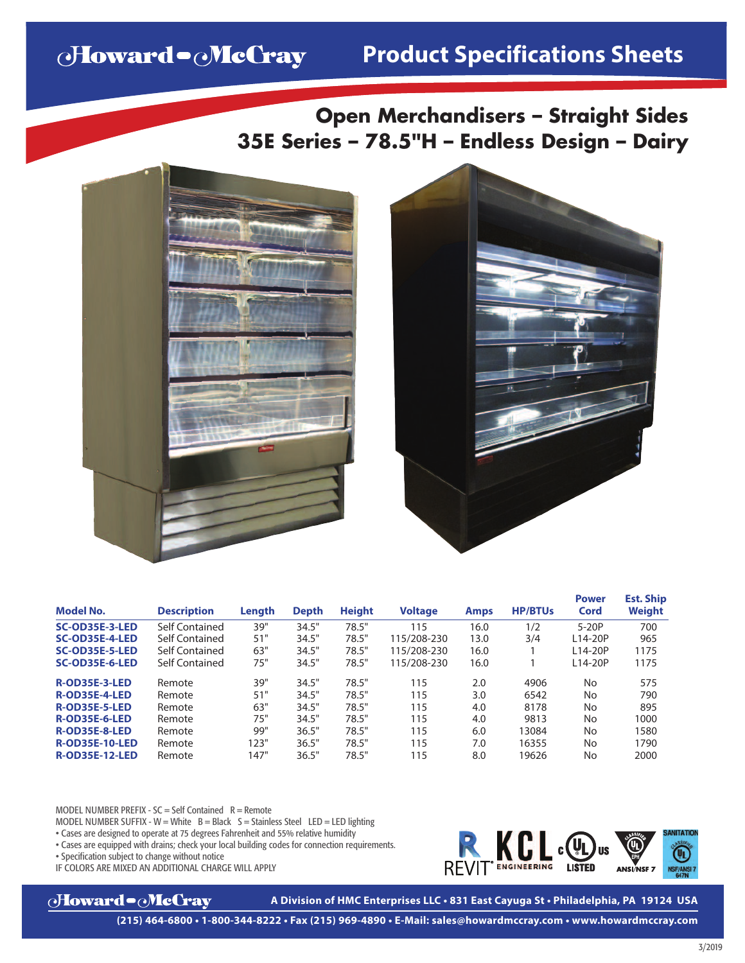# Howard - McCray

# **Product Specifications Sheets**

**Open Merchandisers – Straight Sides 35E Series – 78.5"H – Endless Design – Dairy**





| <b>Model No.</b>      | <b>Description</b> | Length | <b>Depth</b> | <b>Height</b> | <b>Voltage</b> | <b>Amps</b> | <b>HP/BTUs</b> | <b>Power</b><br>Cord | <b>Est. Ship</b><br>Weight |
|-----------------------|--------------------|--------|--------------|---------------|----------------|-------------|----------------|----------------------|----------------------------|
| <b>SC-OD35E-3-LED</b> | Self Contained     | 39"    | 34.5"        | 78.5"         | 115            | 16.0        | 1/2            | $5-20P$              | 700                        |
| SC-OD35E-4-LED        | Self Contained     | 51"    | 34.5"        | 78.5"         | 115/208-230    | 13.0        | 3/4            | L14-20P              | 965                        |
| SC-OD35E-5-LED        | Self Contained     | 63"    | 34.5"        | 78.5"         | 115/208-230    | 16.0        |                | L14-20P              | 1175                       |
| SC-OD35E-6-LED        | Self Contained     | 75"    | 34.5"        | 78.5"         | 115/208-230    | 16.0        |                | L14-20P              | 1175                       |
| <b>R-OD35E-3-LED</b>  | Remote             | 39"    | 34.5"        | 78.5"         | 115            | 2.0         | 4906           | No                   | 575                        |
| <b>R-OD35E-4-LED</b>  | Remote             | 51"    | 34.5"        | 78.5"         | 115            | 3.0         | 6542           | No                   | 790                        |
| <b>R-OD35E-5-LED</b>  | Remote             | 63"    | 34.5"        | 78.5"         | 115            | 4.0         | 8178           | No                   | 895                        |
| <b>R-OD35E-6-LED</b>  | Remote             | 75"    | 34.5"        | 78.5"         | 115            | 4.0         | 9813           | No                   | 1000                       |
| <b>R-OD35E-8-LED</b>  | Remote             | 99"    | 36.5"        | 78.5"         | 115            | 6.0         | 13084          | No                   | 1580                       |
| <b>R-OD35E-10-LED</b> | Remote             | 123"   | 36.5"        | 78.5"         | 115            | 7.0         | 16355          | No                   | 1790                       |
| <b>R-OD35E-12-LED</b> | Remote             | 147"   | 36.5"        | 78.5"         | 115            | 8.0         | 19626          | No                   | 2000                       |

MODEL NUMBER PREFIX -  $SC = Self$  Contained  $R =$  Remote

MODEL NUMBER SUFFIX - W = White  $B = Black S = Stainless Steel$  LED = LED lighting

• Cases are designed to operate at 75 degrees Fahrenheit and 55% relative humidity

• Cases are equipped with drains; check your local building codes for connection requirements.

• Specification subject to change without notice

IF COLORS ARE MIXED AN ADDITIONAL CHARGE WILL APPLY



KCL CU **REVIT<sup>®</sup>ENGINEERING** 

**A Division of HMC Enterprises LLC • 831 East Cayuga St • Philadelphia, PA 19124 USA**

**(215) 464-6800 • 1-800-344-8222 • Fax (215) 969-4890 • E-Mail: sales@howardmccray.com • www.howardmccray.com**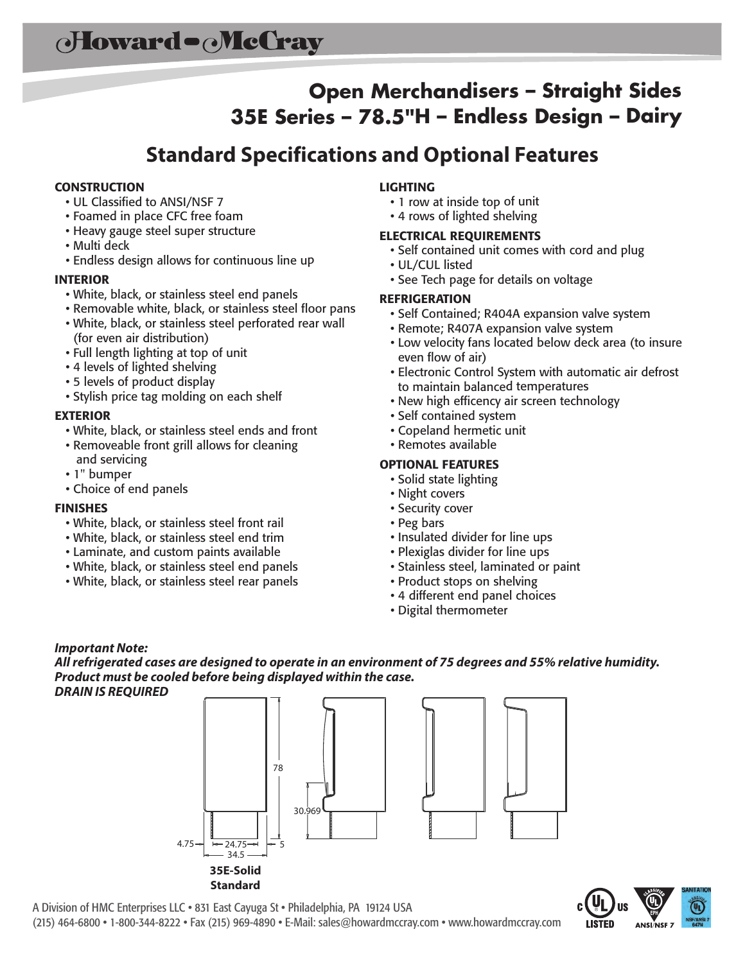## **Open Merchandisers – Straight Sides 35E Series – 78.5"H – Endless Design – Dairy**

### **Standard Specifications and Optional Features**

### **CONSTRUCTION**

- UL Classified to ANSI/NSF 7
- Foamed in place CFC free foam
- Heavy gauge steel super structure
- Multi deck
- Endless design allows for continuous line up

### **INTERIOR**

- White, black, or stainless steel end panels
- Removable white, black, or stainless steel floor pans
- White, black, or stainless steel perforated rear wall (for even air distribution)
- Full length lighting at top of unit
- <sup>4</sup> levels of lighted shelving
- <sup>5</sup> levels of product display
- Stylish price tag molding on each shelf

#### **EXTERIOR**

- White, black, or stainless steel ends and front
- Removeable front grill allows for cleaning and servicing
- 1" bumper
- Choice of end panels

#### **FINISHES**

- White, black, or stainless steel front rail
- White, black, or stainless steel end trim
- Laminate, and custom paints available
- White, black, or stainless steel end panels
- White, black, or stainless steel rear panels

### **LIGHTING**

- <sup>1</sup> row at inside top of unit
- <sup>4</sup> rows of lighted shelving

#### **ELECTRICAL REQUIREMENTS**

- Self contained unit comes with cord and plug
- UL/CUL listed
- See Tech page for details on voltage

#### **REFRIGERATION**

- Self Contained; R404A expansion valve system
- Remote; R407A expansion valve system
- Low velocity fans located below deck area (to insure even flow of air)
- Electronic Control System with automatic air defrost to maintain balanced temperatures
- New high efficency air screen technology
- Self contained system
- Copeland hermetic unit
- Remotes available

#### **OPTIONAL FEATURES**

- Solid state lighting
- Night covers
- Security cover
- Peg bars
- Insulated divider for line ups
- Plexiglas divider for line ups
- Stainless steel, laminated or paint
- Product stops on shelving
- <sup>4</sup> different end panel choices
- Digital thermometer

#### *Important Note:*

*Allrefrigerated cases are designed to operate in an environment of 75 degrees and 55% relative humidity. Product must be cooled before being displayed within the case.*







A Division of HMC Enterprises LLC • 831 East Cayuga St • Philadelphia, PA 19124 USA (215) 464-6800 • 1-800-344-8222 • Fax (215) 969-4890 • E-Mail: sales@howardmccray.com • www.howardmccray.com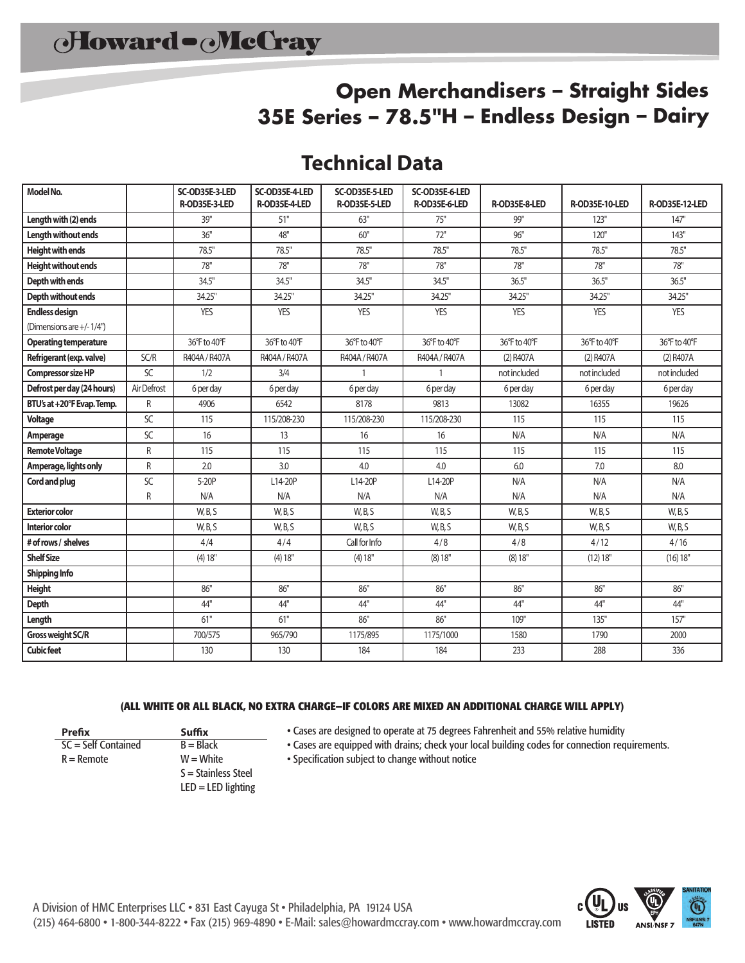### **Open Merchandisers – Straight Sides 35E Series – 78.5"H – Endless Design – Dairy**

### **Technical Data**

| Model No.                    |                 | SC-OD35E-3-LED<br>R-OD35E-3-LED | SC-OD35E-4-LED<br>R-OD35E-4-LED | SC-OD35E-5-LED<br>R-OD35E-5-LED | SC-OD35E-6-LED<br>R-OD35E-6-LED | R-OD35E-8-LED | <b>R-OD35E-10-LED</b> | R-OD35E-12-LED |
|------------------------------|-----------------|---------------------------------|---------------------------------|---------------------------------|---------------------------------|---------------|-----------------------|----------------|
| Length with (2) ends         |                 | 39"                             | 51"                             | 63"                             | 75"                             | 99"           | 123"                  | 147"           |
| <b>Length without ends</b>   |                 | 36"                             | 48"                             | 60"                             | 72"                             | 96"           | 120"                  | 143"           |
| <b>Height with ends</b>      |                 | 78.5"                           | 78.5"                           | 78.5"                           | 78.5"                           | 78.5"         | 78.5"                 | 78.5"          |
| <b>Height without ends</b>   |                 | 78"                             | 78"                             | 78"                             | 78"                             | 78"           | 78"                   | 78"            |
| Depth with ends              |                 | 34.5"                           | 34.5"                           | 34.5"                           | 34.5"                           | 36.5"         | 36.5"                 | 36.5"          |
| Depth without ends           |                 | 34.25"                          | 34.25"                          | 34.25"                          | 34.25"                          | 34.25"        | 34.25"                | 34.25"         |
| <b>Endless design</b>        |                 | <b>YES</b>                      | <b>YES</b>                      | <b>YES</b>                      | <b>YES</b>                      | <b>YES</b>    | <b>YES</b>            | <b>YES</b>     |
| (Dimensions are +/-1/4")     |                 |                                 |                                 |                                 |                                 |               |                       |                |
| <b>Operating temperature</b> |                 | 36°F to 40°F                    | 36°F to 40°F                    | 36°F to 40°F                    | 36°F to 40°F                    | 36°F to 40°F  | 36°F to 40°F          | 36°F to 40°F   |
| Refrigerant (exp. valve)     | SC/R            | R404A / R407A                   | R404A / R407A                   | R404A / R407A                   | R404A / R407A                   | (2) R407A     | (2) R407A             | (2) R407A      |
| <b>Compressor size HP</b>    | $\overline{SC}$ | 1/2                             | 3/4                             | $\mathbf{1}$                    | $\mathbf{1}$                    | not included  | not included          | not included   |
| Defrost per day (24 hours)   | Air Defrost     | 6 per day                       | 6 per day                       | 6 per day                       | 6 per day                       | 6 per day     | 6 per day             | 6 per day      |
| BTU's at +20°F Evap. Temp.   | R               | 4906                            | 6542                            | 8178                            | 9813                            | 13082         | 16355                 | 19626          |
| Voltage                      | SC              | 115                             | 115/208-230                     | 115/208-230                     | 115/208-230                     | 115           | 115                   | 115            |
| Amperage                     | SC              | 16                              | 13                              | 16                              | 16                              | N/A           | N/A                   | N/A            |
| <b>Remote Voltage</b>        | R               | 115                             | 115                             | 115                             | 115                             | 115           | 115                   | 115            |
| Amperage, lights only        | R               | 2.0                             | 3.0                             | 4.0                             | 4.0                             | 6.0           | 7.0                   | 8.0            |
| Cord and plug                | SC              | 5-20P                           | L14-20P                         | L14-20P                         | L14-20P                         | N/A           | N/A                   | N/A            |
|                              | R               | N/A                             | N/A                             | N/A                             | N/A                             | N/A           | N/A                   | N/A            |
| <b>Exterior color</b>        |                 | W, B, S                         | W, B, S                         | W, B, S                         | W, B, S                         | W, B, S       | W, B, S               | W, B, S        |
| <b>Interior color</b>        |                 | W, B, S                         | W, B, S                         | W, B, S                         | W, B, S                         | W, B, S       | W, B, S               | W, B, S        |
| # of rows / shelves          |                 | 4/4                             | 4/4                             | Call for Info                   | 4/8                             | 4/8           | 4/12                  | 4/16           |
| <b>Shelf Size</b>            |                 | (4) 18"                         | (4) 18"                         | (4) 18"                         | (8) 18"                         | (8) 18"       | (12) 18"              | (16) 18"       |
| Shipping Info                |                 |                                 |                                 |                                 |                                 |               |                       |                |
| <b>Height</b>                |                 | 86"                             | 86"                             | 86"                             | 86"                             | 86"           | 86"                   | 86"            |
| Depth                        |                 | 44"                             | 44"                             | 44"                             | 44"                             | 44"           | 44"                   | 44"            |
| Length                       |                 | 61"                             | 61"                             | 86"                             | 86"                             | 109"          | 135"                  | 157"           |
| Gross weight SC/R            |                 | 700/575                         | 965/790                         | 1175/895                        | 1175/1000                       | 1580          | 1790                  | 2000           |
| <b>Cubic feet</b>            |                 | 130                             | 130                             | 184                             | 184                             | 233           | 288                   | 336            |

#### **(ALL WHITE OR ALL BLACK, NO EXTRA CHARGE—IF COLORS ARE MIXED AN ADDITIONAL CHARGE WILL APPLY)**

 $SC = Self$  Contained  $B = Black$ 

**Prefix Suffix**

 $R =$  Remote  $W =$  W  $=$  White S = Stainless Steel  $LED = LED$  lighting • Cases are designed to operate at 75 degrees Fahrenheit and 55% relative humidity

• Cases are equipped with drains; check your local building codes for connection requirements.

• Specification subject to change without notice